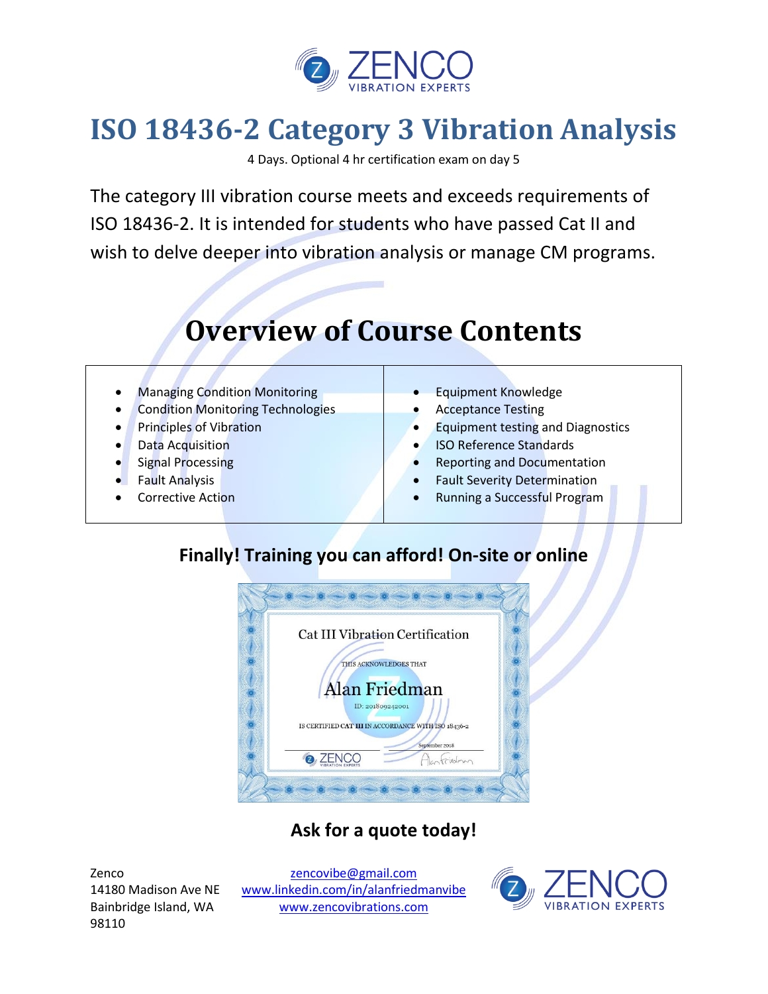

## **ISO 18436-2 Category 3 Vibration Analysis**

4 Days. Optional 4 hr certification exam on day 5

The category III vibration course meets and exceeds requirements of ISO 18436-2. It is intended for students who have passed Cat II and wish to delve deeper into vibration analysis or manage CM programs.

# **Overview of Course Contents**

- Managing Condition Monitoring
- Condition Monitoring Technologies
- Principles of Vibration
- Data Acquisition
- Signal Processing
- Fault Analysis
- Corrective Action
- Equipment Knowledge
- Acceptance Testing
- Equipment testing and Diagnostics
- ISO Reference Standards
- Reporting and Documentation
- Fault Severity Determination
- Running a Successful Program

### **Finally! Training you can afford! On-site or online**



### **Ask for a quote today!**

Zenco 14180 Madison Ave NE Bainbridge Island, WA 98110

[zencovibe@gmail.com](mailto:zencovibe@gmail.com) [www.linkedin.com/in/alanfriedmanvibe](http://www.linkedin.com/in/alanfriedmanvibe) [www.zencovibrations.com](http://www.zencovibrations.com/)

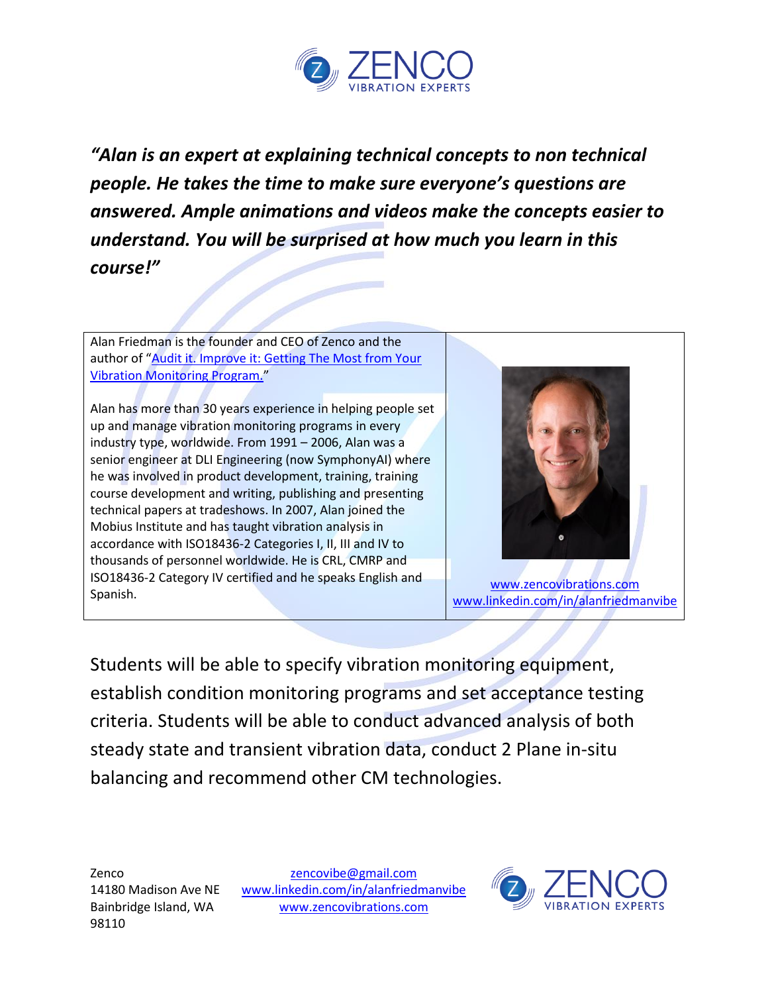

*"Alan is an expert at explaining technical concepts to non technical people. He takes the time to make sure everyone's questions are answered. Ample animations and videos make the concepts easier to understand. You will be surprised at how much you learn in this course!"* 

Alan Friedman is the founder and CEO of Zenco and the author of "Audit it. Improve it: Getting The Most from Your [Vibration Monitoring Program.](https://www.amazon.com/Audit-Improve-Getting-Vibration-Program/dp/1941872417?&_encoding=UTF8&tag=zencovibe-20&linkCode=ur2&linkId=76ac76bb8b604424351160cc2d68680a&camp=1789&creative=9325)"

Alan has more than 30 years experience in helping people set up and manage vibration monitoring programs in every industry type, worldwide. From 1991 – 2006, Alan was a senior engineer at DLI Engineering (now SymphonyAI) where he was involved in product development, training, training course development and writing, publishing and presenting technical papers at tradeshows. In 2007, Alan joined the Mobius Institute and has taught vibration analysis in accordance with ISO18436-2 Categories I, II, III and IV to thousands of personnel worldwide. He is CRL, CMRP and ISO18436-2 Category IV certified and he speaks English and Spanish.



[www.zencovibrations.com](http://www.zencovibrations.com/) [www.linkedin.com/in/alanfriedmanvibe](http://www.linkedin.com/in/alanfriedmanvibe)

Students will be able to specify vibration monitoring equipment, establish condition monitoring programs and set acceptance testing criteria. Students will be able to conduct advanced analysis of both steady state and transient vibration data, conduct 2 Plane in-situ balancing and recommend other CM technologies.

[zencovibe@gmail.com](mailto:zencovibe@gmail.com) [www.linkedin.com/in/alanfriedmanvibe](http://www.linkedin.com/in/alanfriedmanvibe) [www.zencovibrations.com](http://www.zencovibrations.com/)